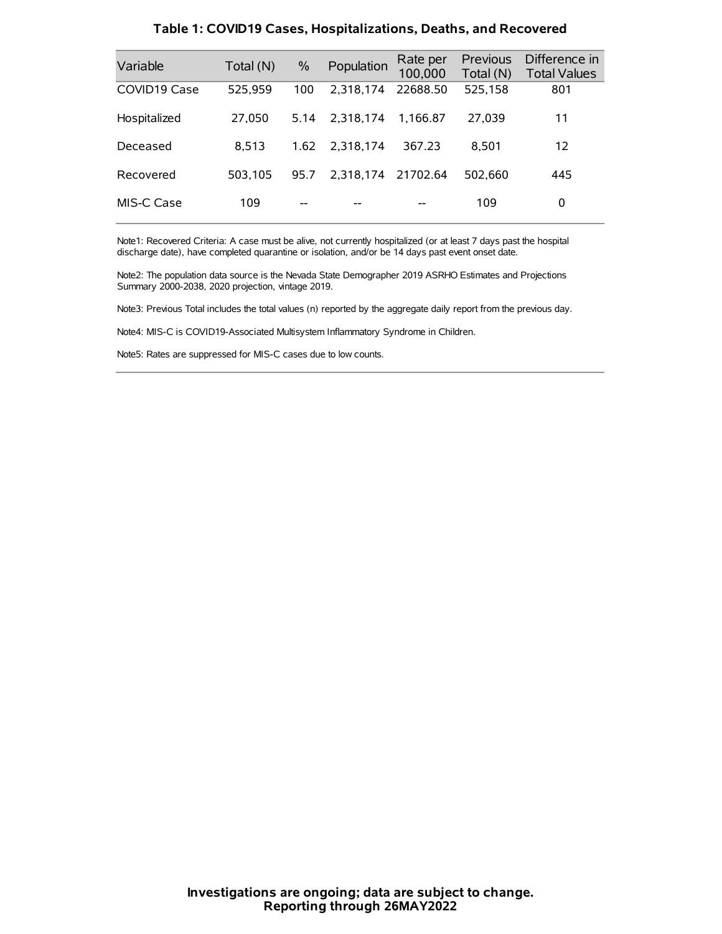| Variable     | Total (N) | $\frac{0}{0}$ | Population | Rate per<br>100,000 | Previous<br>Total (N) | Difference in<br><b>Total Values</b> |
|--------------|-----------|---------------|------------|---------------------|-----------------------|--------------------------------------|
| COVID19 Case | 525.959   | 100           | 2.318.174  | 22688.50            | 525,158               | 801                                  |
| Hospitalized | 27,050    | 5.14          | 2.318.174  | 1.166.87            | 27.039                | 11                                   |
| Deceased     | 8.513     | 1.62          | 2.318.174  | 367.23              | 8.501                 | 12                                   |
| Recovered    | 503.105   | 95.7          | 2.318.174  | 21702.64            | 502.660               | 445                                  |
| MIS-C Case   | 109       | --            |            |                     | 109                   | 0                                    |

#### **Table 1: COVID19 Cases, Hospitalizations, Deaths, and Recovered**

Note1: Recovered Criteria: A case must be alive, not currently hospitalized (or at least 7 days past the hospital discharge date), have completed quarantine or isolation, and/or be 14 days past event onset date.

Note2: The population data source is the Nevada State Demographer 2019 ASRHO Estimates and Projections Summary 2000-2038, 2020 projection, vintage 2019.

Note3: Previous Total includes the total values (n) reported by the aggregate daily report from the previous day.

Note4: MIS-C is COVID19-Associated Multisystem Inflammatory Syndrome in Children.

Note5: Rates are suppressed for MIS-C cases due to low counts.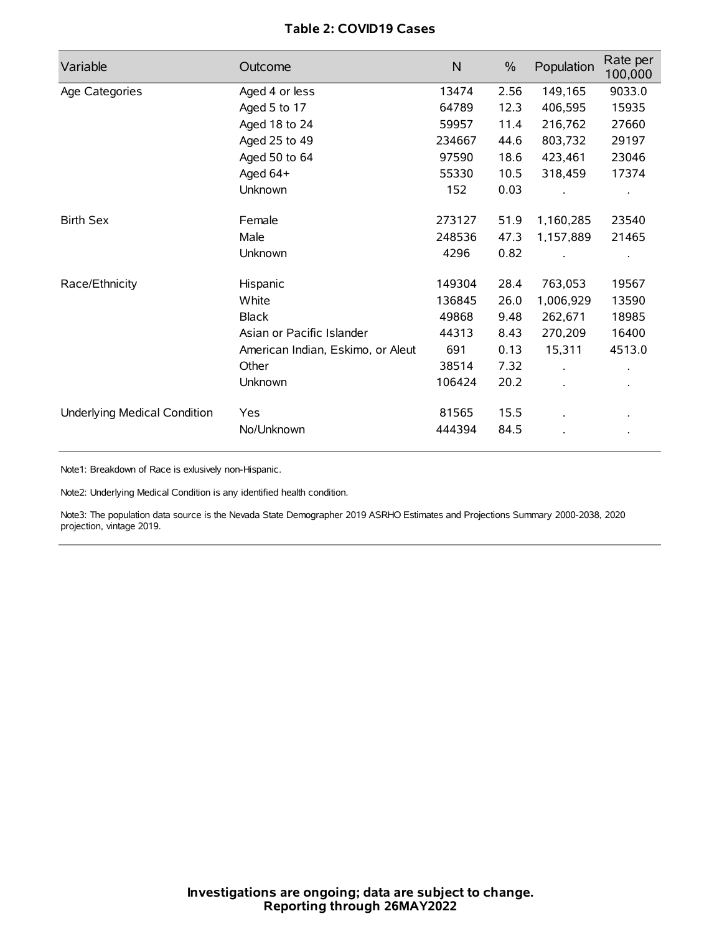# **Table 2: COVID19 Cases**

| Variable                     | Outcome                           | $\mathsf{N}$ | $\%$ | Population           | Rate per<br>100,000 |
|------------------------------|-----------------------------------|--------------|------|----------------------|---------------------|
| Age Categories               | Aged 4 or less                    | 13474        | 2.56 | 149,165              | 9033.0              |
|                              | Aged 5 to 17                      | 64789        | 12.3 | 406,595              | 15935               |
|                              | Aged 18 to 24                     | 59957        | 11.4 | 216,762              | 27660               |
|                              | Aged 25 to 49                     | 234667       | 44.6 | 803,732              | 29197               |
|                              | Aged 50 to 64                     | 97590        | 18.6 | 423,461              | 23046               |
|                              | Aged 64+                          | 55330        | 10.5 | 318,459              | 17374               |
|                              | Unknown                           | 152          | 0.03 |                      |                     |
| <b>Birth Sex</b>             | Female                            | 273127       | 51.9 | 1,160,285            | 23540               |
|                              | Male                              | 248536       | 47.3 | 1,157,889            | 21465               |
|                              | Unknown                           | 4296         | 0.82 |                      |                     |
| Race/Ethnicity               | Hispanic                          | 149304       | 28.4 | 763,053              | 19567               |
|                              | White                             | 136845       | 26.0 | 1,006,929            | 13590               |
|                              | <b>Black</b>                      | 49868        | 9.48 | 262,671              | 18985               |
|                              | Asian or Pacific Islander         | 44313        | 8.43 | 270,209              | 16400               |
|                              | American Indian, Eskimo, or Aleut | 691          | 0.13 | 15,311               | 4513.0              |
|                              | Other                             | 38514        | 7.32 | $\ddot{\phantom{a}}$ |                     |
|                              | Unknown                           | 106424       | 20.2 | ÷.                   |                     |
| Underlying Medical Condition | Yes                               | 81565        | 15.5 |                      |                     |
|                              | No/Unknown                        | 444394       | 84.5 |                      |                     |

Note1: Breakdown of Race is exlusively non-Hispanic.

Note2: Underlying Medical Condition is any identified health condition.

Note3: The population data source is the Nevada State Demographer 2019 ASRHO Estimates and Projections Summary 2000-2038, 2020 projection, vintage 2019.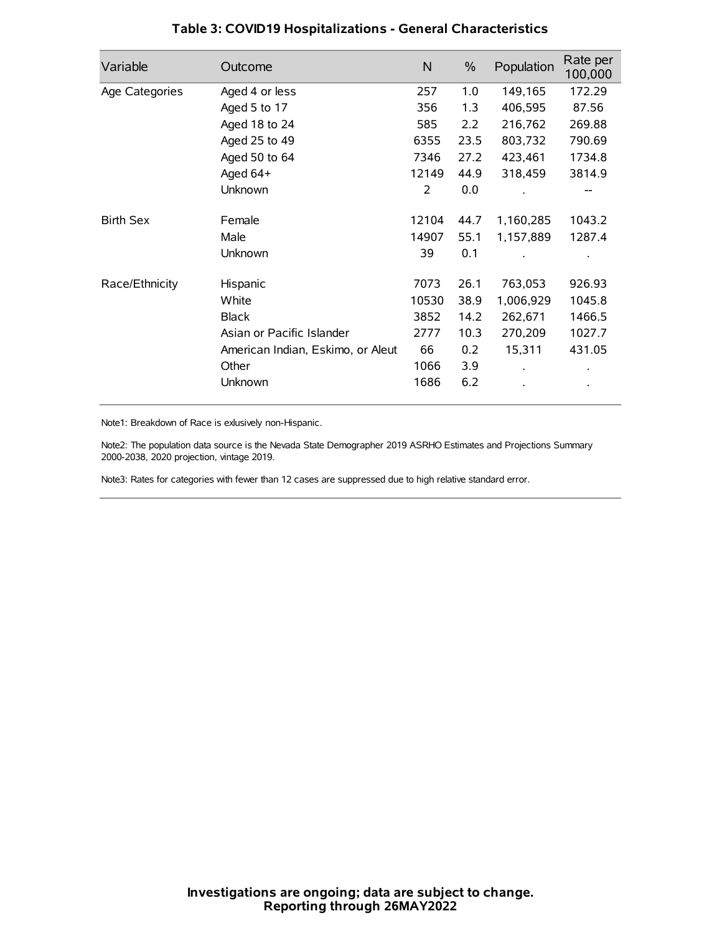| Variable         | Outcome                           | N     | $\%$ | Population | Rate per<br>100,000 |
|------------------|-----------------------------------|-------|------|------------|---------------------|
| Age Categories   | Aged 4 or less                    | 257   | 1.0  | 149,165    | 172.29              |
|                  | Aged 5 to 17                      | 356   | 1.3  | 406,595    | 87.56               |
|                  | Aged 18 to 24                     | 585   | 2.2  | 216,762    | 269.88              |
|                  | Aged 25 to 49                     | 6355  | 23.5 | 803,732    | 790.69              |
|                  | Aged 50 to 64                     | 7346  | 27.2 | 423,461    | 1734.8              |
|                  | Aged 64+                          | 12149 | 44.9 | 318,459    | 3814.9              |
|                  | Unknown                           | 2     | 0.0  |            |                     |
| <b>Birth Sex</b> | Female                            | 12104 | 44.7 | 1,160,285  | 1043.2              |
|                  | Male                              | 14907 | 55.1 | 1,157,889  | 1287.4              |
|                  | Unknown                           | 39    | 0.1  |            |                     |
| Race/Ethnicity   | Hispanic                          | 7073  | 26.1 | 763,053    | 926.93              |
|                  | White                             | 10530 | 38.9 | 1,006,929  | 1045.8              |
|                  | <b>Black</b>                      | 3852  | 14.2 | 262,671    | 1466.5              |
|                  | Asian or Pacific Islander         | 2777  | 10.3 | 270,209    | 1027.7              |
|                  | American Indian, Eskimo, or Aleut | 66    | 0.2  | 15,311     | 431.05              |
|                  | Other                             | 1066  | 3.9  |            |                     |
|                  | Unknown                           | 1686  | 6.2  |            |                     |

# **Table 3: COVID19 Hospitalizations - General Characteristics**

Note1: Breakdown of Race is exlusively non-Hispanic.

Note2: The population data source is the Nevada State Demographer 2019 ASRHO Estimates and Projections Summary 2000-2038, 2020 projection, vintage 2019.

Note3: Rates for categories with fewer than 12 cases are suppressed due to high relative standard error.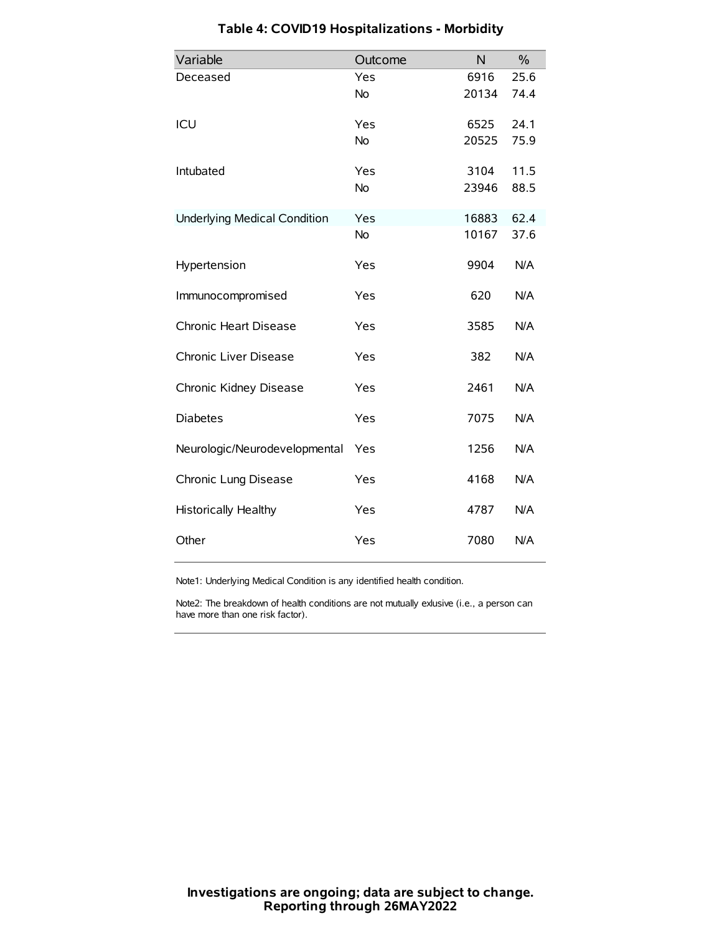| Variable                            | Outcome   | N     | $\frac{0}{0}$ |
|-------------------------------------|-----------|-------|---------------|
| Deceased                            | Yes       | 6916  | 25.6          |
|                                     | <b>No</b> | 20134 | 74.4          |
| ICU                                 | Yes       | 6525  | 24.1          |
|                                     | <b>No</b> | 20525 | 75.9          |
| Intubated                           | Yes       | 3104  | 11.5          |
|                                     | <b>No</b> | 23946 | 88.5          |
| <b>Underlying Medical Condition</b> | Yes       | 16883 | 62.4          |
|                                     | No        | 10167 | 37.6          |
| Hypertension                        | Yes       | 9904  | N/A           |
| Immunocompromised                   | Yes       | 620   | N/A           |
| Chronic Heart Disease               | Yes       | 3585  | N/A           |
| Chronic Liver Disease               | Yes       | 382   | N/A           |
| Chronic Kidney Disease              | Yes       | 2461  | N/A           |
| <b>Diabetes</b>                     | Yes       | 7075  | N/A           |
| Neurologic/Neurodevelopmental       | Yes       | 1256  | N/A           |
| Chronic Lung Disease                | Yes       | 4168  | N/A           |
| Historically Healthy                | Yes       | 4787  | N/A           |
| Other                               | Yes       | 7080  | N/A           |

# **Table 4: COVID19 Hospitalizations - Morbidity**

Note1: Underlying Medical Condition is any identified health condition.

Note2: The breakdown of health conditions are not mutually exlusive (i.e., a person can have more than one risk factor).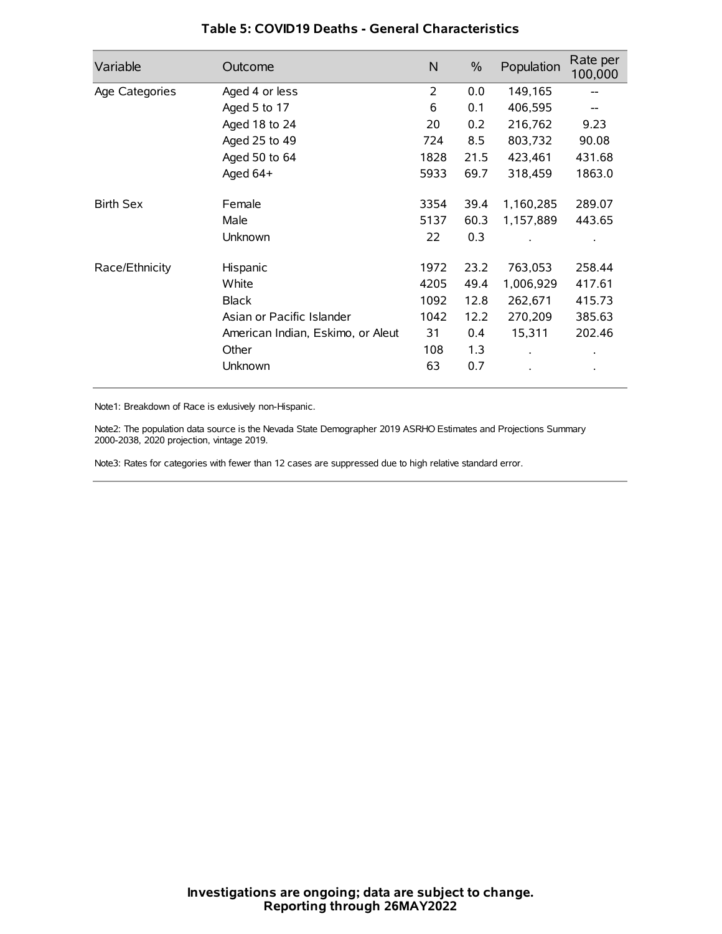| Variable         | Outcome                           | N    | $\%$ | Population           | Rate per<br>100,000 |
|------------------|-----------------------------------|------|------|----------------------|---------------------|
| Age Categories   | Aged 4 or less                    | 2    | 0.0  | 149,165              |                     |
|                  | Aged 5 to 17                      | 6    | 0.1  | 406,595              |                     |
|                  | Aged 18 to 24                     | 20   | 0.2  | 216,762              | 9.23                |
|                  | Aged 25 to 49                     | 724  | 8.5  | 803,732              | 90.08               |
|                  | Aged 50 to 64                     | 1828 | 21.5 | 423,461              | 431.68              |
|                  | Aged 64+                          | 5933 | 69.7 | 318,459              | 1863.0              |
| <b>Birth Sex</b> | Female                            | 3354 | 39.4 | 1,160,285            | 289.07              |
|                  | Male                              | 5137 | 60.3 | 1,157,889            | 443.65              |
|                  | Unknown                           | 22   | 0.3  |                      |                     |
| Race/Ethnicity   | Hispanic                          | 1972 | 23.2 | 763,053              | 258.44              |
|                  | White                             | 4205 | 49.4 | 1,006,929            | 417.61              |
|                  | <b>Black</b>                      | 1092 | 12.8 | 262,671              | 415.73              |
|                  | Asian or Pacific Islander         | 1042 | 12.2 | 270,209              | 385.63              |
|                  | American Indian, Eskimo, or Aleut | 31   | 0.4  | 15,311               | 202.46              |
|                  | Other                             | 108  | 1.3  | $\ddot{\phantom{0}}$ | $\bullet$           |
|                  | Unknown                           | 63   | 0.7  |                      | $\bullet$           |

## **Table 5: COVID19 Deaths - General Characteristics**

Note1: Breakdown of Race is exlusively non-Hispanic.

Note2: The population data source is the Nevada State Demographer 2019 ASRHO Estimates and Projections Summary 2000-2038, 2020 projection, vintage 2019.

Note3: Rates for categories with fewer than 12 cases are suppressed due to high relative standard error.